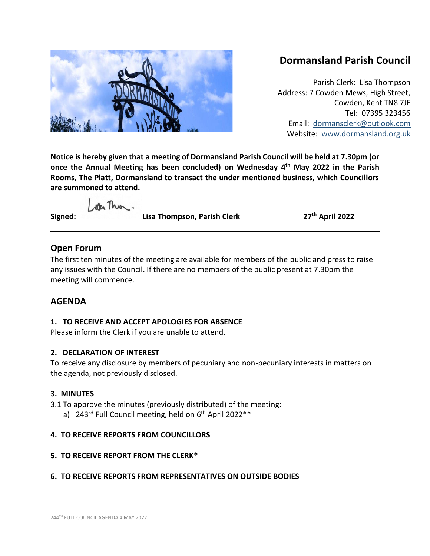# **Dormansland Parish Council**

Parish Clerk: Lisa Thompson Address: 7 Cowden Mews, High Street, Cowden, Kent TN8 7JF Tel: 07395 323456 Email: [dormansclerk@outlook.com](mailto:dormansclerk@outlook.com) Website: [www.dormansland.org.uk](http://www.dormansland.org.uk/)

**Notice is hereby given that a meeting of Dormansland Parish Council will be held at 7.30pm (or once the Annual Meeting has been concluded) on Wednesday 4 th May 2022 in the Parish Rooms, The Platt, Dormansland to transact the under mentioned business, which Councillors are summoned to attend.**

ster This.

**Signed: Lisa Thompson, Parish Clerk 27th April 2022**

# **Open Forum**

The first ten minutes of the meeting are available for members of the public and press to raise any issues with the Council. If there are no members of the public present at 7.30pm the meeting will commence.

# **AGENDA**

## **1. TO RECEIVE AND ACCEPT APOLOGIES FOR ABSENCE**

Please inform the Clerk if you are unable to attend.

## **2. DECLARATION OF INTEREST**

To receive any disclosure by members of pecuniary and non-pecuniary interests in matters on the agenda, not previously disclosed.

# **3. MINUTES**

3.1 To approve the minutes (previously distributed) of the meeting: a) 243<sup>rd</sup> Full Council meeting, held on 6<sup>th</sup> April 2022\*\*

# **4. TO RECEIVE REPORTS FROM COUNCILLORS**

# **5. TO RECEIVE REPORT FROM THE CLERK\***

# **6. TO RECEIVE REPORTS FROM REPRESENTATIVES ON OUTSIDE BODIES**